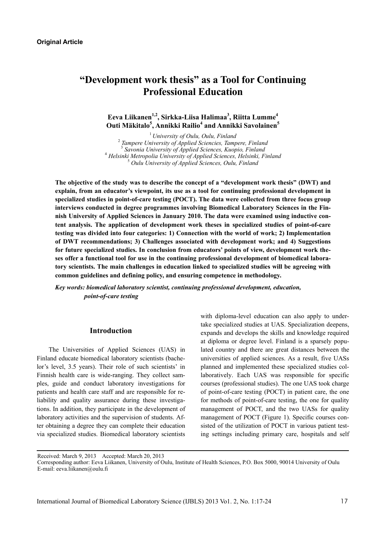# **"Development work thesis" as a Tool for Continuing Professional Education**

# **Eeva Liikanen1,2, Sirkka-Liisa Halimaa3 , Riitta Lumme4 Outi Mäkitalo<sup>5</sup> , Annikki Railio<sup>4</sup> and Annikki Savolainen<sup>5</sup>**

<sup>1</sup> University of Oulu, Oulu, Finland  *Tampere University of Applied Sciencies, Tampere, Finland*  3  *Savonia University of Applied Sciences, Kuopio, Finland* <sup>4</sup>  *Helsinki Metropolia University of Applied Sciences, Helsinki, Finland* <sup>5</sup>  *Oulu University of Applied Sciences, Oulu, Finland* 

**The objective of the study was to describe the concept of a "development work thesis" (DWT) and explain, from an educator's viewpoint, its use as a tool for continuing professional development in specialized studies in point-of-care testing (POCT). The data were collected from three focus group interviews conducted in degree programmes involving Biomedical Laboratory Sciences in the Finnish University of Applied Sciences in January 2010. The data were examined using inductive content analysis. The application of development work theses in specialized studies of point-of-care testing was divided into four categories: 1) Connection with the world of work; 2) Implementation of DWT recommendations; 3) Challenges associated with development work; and 4) Suggestions for future specialized studies. In conclusion from educators' points of view, development work theses offer a functional tool for use in the continuing professional development of biomedical laboratory scientists. The main challenges in education linked to specialized studies will be agreeing with common guidelines and defining policy, and ensuring competence in methodology.** 

*Key words: biomedical laboratory scientist, continuing professional development, education, point-of-care testing* 

#### **Introduction**

The Universities of Applied Sciences (UAS) in Finland educate biomedical laboratory scientists (bachelor's level, 3.5 years). Their role of such scientists' in Finnish health care is wide-ranging. They collect samples, guide and conduct laboratory investigations for patients and health care staff and are responsible for reliability and quality assurance during these investigations. In addition, they participate in the development of laboratory activities and the supervision of students. After obtaining a degree they can complete their education via specialized studies. Biomedical laboratory scientists

with diploma-level education can also apply to undertake specialized studies at UAS. Specialization deepens, expands and develops the skills and knowledge required at diploma or degree level. Finland is a sparsely populated country and there are great distances between the universities of applied sciences. As a result, five UASs planned and implemented these specialized studies collaboratively. Each UAS was responsible for specific courses (professional studies). The one UAS took charge of point-of-care testing (POCT) in patient care, the one for methods of point-of-care testing, the one for quality management of POCT, and the two UASs for quality management of POCT (Figure 1). Specific courses consisted of the utilization of POCT in various patient testing settings including primary care, hospitals and self

Received: March 9, 2013 Accepted: March 20, 2013

Corresponding author: Eeva Liikanen, University of Oulu, Institute of Health Sciences, P.O. Box 5000, 90014 University of Oulu E-mail: eeva.liikanen@oulu.fi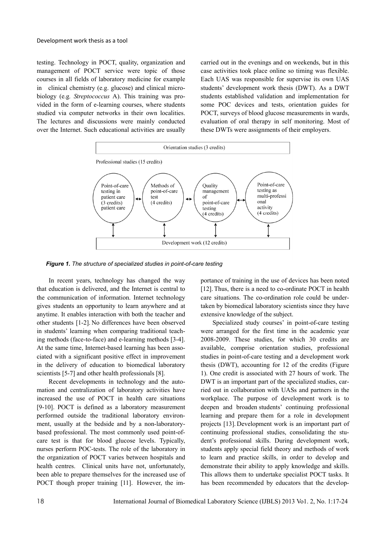testing. Technology in POCT, quality, organization and management of POCT service were topic of those courses in all fields of laboratory medicine for example in clinical chemistry (e.g. glucose) and clinical microbiology (e.g*. Streptococcus* A). This training was provided in the form of e-learning courses, where students studied via computer networks in their own localities. The lectures and discussions were mainly conducted over the Internet. Such educational activities are usually

carried out in the evenings and on weekends, but in this case activities took place online so timing was flexible. Each UAS was responsible for supervise its own UAS students' development work thesis (DWT). As a DWT students established validation and implementation for some POC devices and tests, orientation guides for POCT, surveys of blood glucose measurements in wards, evaluation of oral therapy in self monitoring. Most of these DWTs were assignments of their employers.



*Figure 1. The structure of specialized studies in point-of-care testing* 

In recent years, technology has changed the way that education is delivered, and the Internet is central to the communication of information. Internet technology gives students an opportunity to learn anywhere and at anytime. It enables interaction with both the teacher and other students [1-2]. No differences have been observed in students' learning when comparing traditional teaching methods (face-to-face) and e-learning methods [3-4]. At the same time, Internet-based learning has been associated with a significant positive effect in improvement in the delivery of education to biomedical laboratory scientists [5-7] and other health professionals [8].

Recent developments in technology and the automation and centralization of laboratory activities have increased the use of POCT in health care situations [9-10]. POCT is defined as a laboratory measurement performed outside the traditional laboratory environment, usually at the bedside and by a non-laboratorybased professional. The most commonly used point-ofcare test is that for blood glucose levels. Typically, nurses perform POC-tests. The role of the laboratory in the organization of POCT varies between hospitals and health centres. Clinical units have not, unfortunately, been able to prepare themselves for the increased use of POCT though proper training [11]. However, the importance of training in the use of devices has been noted [12]. Thus, there is a need to co-ordinate POCT in health care situations. The co-ordination role could be undertaken by biomedical laboratory scientists since they have extensive knowledge of the subject.

Specialized study courses' in point-of-care testing were arranged for the first time in the academic year 2008-2009. These studies, for which 30 credits are available, comprise orientation studies, professional studies in point-of-care testing and a development work thesis (DWT), accounting for 12 of the credits (Figure 1). One credit is associated with 27 hours of work. The DWT is an important part of the specialized studies, carried out in collaboration with UASs and partners in the workplace. The purpose of development work is to deepen and broaden students' continuing professional learning and prepare them for a role in development projects [13]. Development work is an important part of continuing professional studies, consolidating the student's professional skills. During development work, students apply special field theory and methods of work to learn and practice skills, in order to develop and demonstrate their ability to apply knowledge and skills. This allows them to undertake specialist POCT tasks. It has been recommended by educators that the develop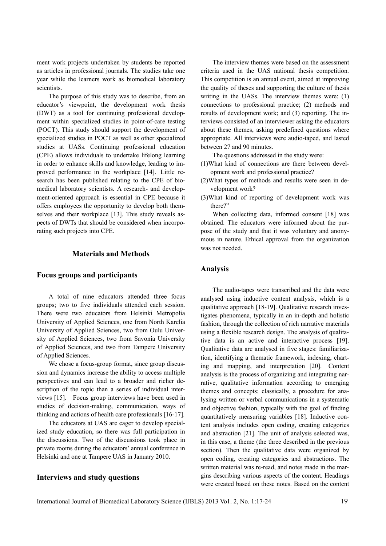ment work projects undertaken by students be reported as articles in professional journals. The studies take one year while the learners work as biomedical laboratory scientists.

The purpose of this study was to describe, from an educator's viewpoint, the development work thesis (DWT) as a tool for continuing professional development within specialized studies in point-of-care testing (POCT). This study should support the development of specialized studies in POCT as well as other specialized studies at UASs. Continuing professional education (CPE) allows individuals to undertake lifelong learning in order to enhance skills and knowledge, leading to improved performance in the workplace [14]. Little research has been published relating to the CPE of biomedical laboratory scientists. A research- and development-oriented approach is essential in CPE because it offers employees the opportunity to develop both themselves and their workplace [13]. This study reveals aspects of DWTs that should be considered when incorporating such projects into CPE.

# **Materials and Methods**

#### **Focus groups and participants**

A total of nine educators attended three focus groups; two to five individuals attended each session. There were two educators from Helsinki Metropolia University of Applied Sciences, one from North Karelia University of Applied Sciences, two from Oulu University of Applied Sciences, two from Savonia University of Applied Sciences, and two from Tampere University of Applied Sciences.

We chose a focus-group format, since group discussion and dynamics increase the ability to access multiple perspectives and can lead to a broader and richer description of the topic than a series of individual interviews [15]. Focus group interviews have been used in studies of decision-making, communication, ways of thinking and actions of health care professionals [16-17].

The educators at UAS are eager to develop specialized study education, so there was full participation in the discussions. Two of the discussions took place in private rooms during the educators' annual conference in Helsinki and one at Tampere UAS in January 2010.

## **Interviews and study questions**

The interview themes were based on the assessment criteria used in the UAS national thesis competition. This competition is an annual event, aimed at improving the quality of theses and supporting the culture of thesis writing in the UASs. The interview themes were: (1) connections to professional practice; (2) methods and results of development work; and (3) reporting. The interviews consisted of an interviewer asking the educators about these themes, asking predefined questions where appropriate. All interviews were audio-taped, and lasted between 27 and 90 minutes.

The questions addressed in the study were:

- (1)What kind of connections are there between development work and professional practice?
- (2)What types of methods and results were seen in development work?
- (3)What kind of reporting of development work was there?"

When collecting data, informed consent [18] was obtained. The educators were informed about the purpose of the study and that it was voluntary and anonymous in nature. Ethical approval from the organization was not needed

#### **Analysis**

The audio-tapes were transcribed and the data were analysed using inductive content analysis, which is a qualitative approach [18-19]. Qualitative research investigates phenomena, typically in an in-depth and holistic fashion, through the collection of rich narrative materials using a flexible research design. The analysis of qualitative data is an active and interactive process [19]. Qualitative data are analysed in five stages: familiarization, identifying a thematic framework, indexing, charting and mapping, and interpretation [20]. Content analysis is the process of organizing and integrating narrative, qualitative information according to emerging themes and concepts; classically, a procedure for analysing written or verbal communications in a systematic and objective fashion, typically with the goal of finding quantitatively measuring variables [18]. Inductive content analysis includes open coding, creating categories and abstraction [21]. The unit of analysis selected was, in this case, a theme (the three described in the previous section). Then the qualitative data were organized by open coding, creating categories and abstractions. The written material was re-read, and notes made in the margins describing various aspects of the content. Headings were created based on these notes. Based on the content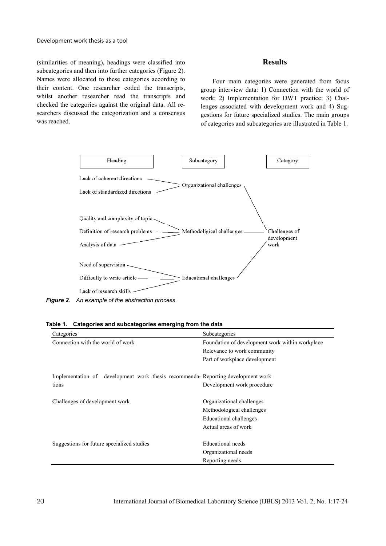#### Development work thesis as a tool

(similarities of meaning), headings were classified into subcategories and then into further categories (Figure 2). Names were allocated to these categories according to their content. One researcher coded the transcripts, whilst another researcher read the transcripts and checked the categories against the original data. All researchers discussed the categorization and a consensus was reached.

#### **Results**

Four main categories were generated from focus group interview data: 1) Connection with the world of work; 2) Implementation for DWT practice; 3) Challenges associated with development work and 4) Suggestions for future specialized studies. The main groups of categories and subcategories are illustrated in Table 1.



| Table 1. Categories and subcategories emerging from the data |
|--------------------------------------------------------------|
|--------------------------------------------------------------|

| Categories                                                                         | Subcategories                                   |
|------------------------------------------------------------------------------------|-------------------------------------------------|
| Connection with the world of work                                                  | Foundation of development work within workplace |
|                                                                                    | Relevance to work community                     |
|                                                                                    | Part of workplace development                   |
| development work thesis recommenda-Reporting development work<br>Implementation of |                                                 |
| tions                                                                              | Development work procedure                      |
| Challenges of development work                                                     | Organizational challenges                       |
|                                                                                    | Methodological challenges                       |
|                                                                                    | Educational challenges                          |
|                                                                                    | Actual areas of work                            |
| Suggestions for future specialized studies                                         | Educational needs                               |
|                                                                                    | Organizational needs                            |
|                                                                                    | Reporting needs                                 |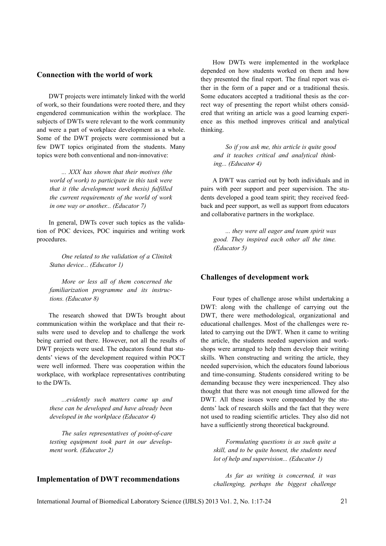# **Connection with the world of work**

DWT projects were intimately linked with the world of work, so their foundations were rooted there, and they engendered communication within the workplace. The subjects of DWTs were relevant to the work community and were a part of workplace development as a whole. Some of the DWT projects were commissioned but a few DWT topics originated from the students. Many topics were both conventional and non-innovative:

*... XXX has shown that their motives (the world of work) to participate in this task were that it (the development work thesis) fulfilled the current requirements of the world of work in one way or another... (Educator 7)* 

In general, DWTs cover such topics as the validation of POC devices, POC inquiries and writing work procedures.

*One related to the validation of a Clinitek Status device... (Educator 1)* 

*More or less all of them concerned the familiarization programme and its instructions. (Educator 8)* 

The research showed that DWTs brought about communication within the workplace and that their results were used to develop and to challenge the work being carried out there. However, not all the results of DWT projects were used. The educators found that students' views of the development required within POCT were well informed. There was cooperation within the workplace, with workplace representatives contributing to the DWTs.

*...evidently such matters came up and these can be developed and have already been developed in the workplace (Educator 4)* 

*The sales representatives of point-of-care testing equipment took part in our development work. (Educator 2)* 

How DWTs were implemented in the workplace depended on how students worked on them and how they presented the final report. The final report was either in the form of a paper and or a traditional thesis. Some educators accepted a traditional thesis as the correct way of presenting the report whilst others considered that writing an article was a good learning experience as this method improves critical and analytical thinking.

*So if you ask me, this article is quite good and it teaches critical and analytical thinking... (Educator 4)* 

A DWT was carried out by both individuals and in pairs with peer support and peer supervision. The students developed a good team spirit; they received feedback and peer support, as well as support from educators and collaborative partners in the workplace.

*... they were all eager and team spirit was good. They inspired each other all the time. (Educator 5)* 

#### **Challenges of development work**

Four types of challenge arose whilst undertaking a DWT: along with the challenge of carrying out the DWT, there were methodological, organizational and educational challenges. Most of the challenges were related to carrying out the DWT. When it came to writing the article, the students needed supervision and workshops were arranged to help them develop their writing skills. When constructing and writing the article, they needed supervision, which the educators found laborious and time-consuming. Students considered writing to be demanding because they were inexperienced. They also thought that there was not enough time allowed for the DWT. All these issues were compounded by the students' lack of research skills and the fact that they were not used to reading scientific articles. They also did not have a sufficiently strong theoretical background.

*Formulating questions is as such quite a skill, and to be quite honest, the students need lot of help and supervision... (Educator 1)* 

*As far as writing is concerned, it was challenging, perhaps the biggest challenge* 

# **Implementation of DWT recommendations**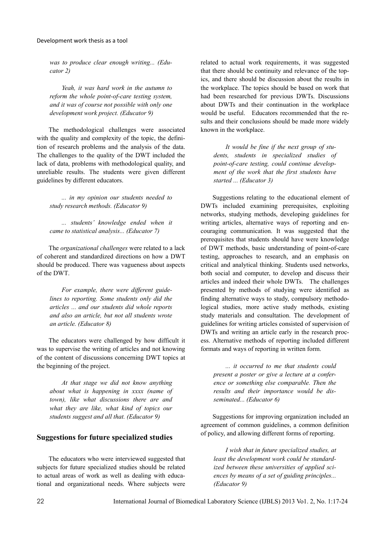*was to produce clear enough writing... (Educator 2)* 

*Yeah, it was hard work in the autumn to reform the whole point-of-care testing system, and it was of course not possible with only one development work project. (Educator 9)* 

The methodological challenges were associated with the quality and complexity of the topic, the definition of research problems and the analysis of the data. The challenges to the quality of the DWT included the lack of data, problems with methodological quality, and unreliable results. The students were given different guidelines by different educators.

*... in my opinion our students needed to study research methods. (Educator 9)* 

*... students' knowledge ended when it came to statistical analysis... (Educator 7)* 

The *organizational challenges* were related to a lack of coherent and standardized directions on how a DWT should be produced. There was vagueness about aspects of the DWT.

*For example, there were different guidelines to reporting. Some students only did the articles ... and our students did whole reports and also an article, but not all students wrote an article. (Educator 8)* 

The educators were challenged by how difficult it was to supervise the writing of articles and not knowing of the content of discussions concerning DWT topics at the beginning of the project.

*At that stage we did not know anything about what is happening in xxxx (name of town), like what discussions there are and what they are like, what kind of topics our students suggest and all that. (Educator 9)* 

# **Suggestions for future specialized studies**

The educators who were interviewed suggested that subjects for future specialized studies should be related to actual areas of work as well as dealing with educational and organizational needs. Where subjects were related to actual work requirements, it was suggested that there should be continuity and relevance of the topics, and there should be discussion about the results in the workplace. The topics should be based on work that had been researched for previous DWTs. Discussions about DWTs and their continuation in the workplace would be useful. Educators recommended that the results and their conclusions should be made more widely known in the workplace.

*It would be fine if the next group of students, students in specialized studies of point-of-care testing, could continue development of the work that the first students have started ... (Educator 3)* 

Suggestions relating to the educational element of DWTs included examining prerequisites, exploiting networks, studying methods, developing guidelines for writing articles, alternative ways of reporting and encouraging communication. It was suggested that the prerequisites that students should have were knowledge of DWT methods, basic understanding of point-of-care testing, approaches to research, and an emphasis on critical and analytical thinking. Students used networks, both social and computer, to develop and discuss their articles and indeed their whole DWTs. The challenges presented by methods of studying were identified as finding alternative ways to study, compulsory methodological studies, more active study methods, existing study materials and consultation. The development of guidelines for writing articles consisted of supervision of DWTs and writing an article early in the research process. Alternative methods of reporting included different formats and ways of reporting in written form.

*... it occurred to me that students could present a poster or give a lecture at a conference or something else comparable. Then the results and their importance would be disseminated... (Educator 6)* 

Suggestions for improving organization included an agreement of common guidelines, a common definition of policy, and allowing different forms of reporting.

*I wish that in future specialized studies, at least the development work could be standardized between these universities of applied sciences by means of a set of guiding principles... (Educator 9)*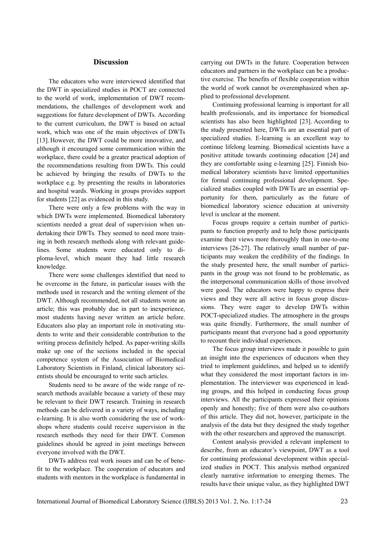#### **Discussion**

The educators who were interviewed identified that the DWT in specialized studies in POCT are connected to the world of work, implementation of DWT recommendations, the challenges of development work and suggestions for future development of DWTs. According to the current curriculum, the DWT is based on actual work, which was one of the main objectives of DWTs [13]. However, the DWT could be more innovative, and although it encouraged some communication within the workplace, there could be a greater practical adoption of the recommendations resulting from DWTs. This could be achieved by bringing the results of DWTs to the workplace e.g. by presenting the results in laboratories and hospital wards. Working in groups provides support for students [22] as evidenced in this study.

There were only a few problems with the way in which DWTs were implemented. Biomedical laboratory scientists needed a great deal of supervision when undertaking their DWTs. They seemed to need more training in both research methods along with relevant guidelines. Some students were educated only to diploma-level, which meant they had little research knowledge.

There were some challenges identified that need to be overcome in the future, in particular issues with the methods used in research and the writing element of the DWT. Although recommended, not all students wrote an article; this was probably due in part to inexperience, most students having never written an article before. Educators also play an important role in motivating students to write and their considerable contribution to the writing process definitely helped. As paper-writing skills make up one of the sections included in the special competence system of the Association of Biomedical Laboratory Scientists in Finland, clinical laboratory scientists should be encouraged to write such articles.

Students need to be aware of the wide range of research methods available because a variety of these may be relevant to their DWT research. Training in research methods can be delivered in a variety of ways, including e-learning. It is also worth considering the use of workshops where students could receive supervision in the research methods they need for their DWT. Common guidelines should be agreed in joint meetings between everyone involved with the DWT.

DWTs address real work issues and can be of benefit to the workplace. The cooperation of educators and students with mentors in the workplace is fundamental in carrying out DWTs in the future. Cooperation between educators and partners in the workplace can be a productive exercise. The benefits of flexible cooperation within the world of work cannot be overemphasized when applied to professional development.

Continuing professional learning is important for all health professionals, and its importance for biomedical scientists has also been highlighted [23]. According to the study presented here, DWTs are an essential part of specialized studies. E-learning is an excellent way to continue lifelong learning. Biomedical scientists have a positive attitude towards continuing education [24] and they are comfortable using e-learning [25]. Finnish biomedical laboratory scientists have limited opportunities for formal continuing professional development. Specialized studies coupled with DWTs are an essential opportunity for them, particularly as the future of biomedical laboratory science education at university level is unclear at the moment.

Focus groups require a certain number of participants to function properly and to help those participants examine their views more thoroughly than in one-to-one interviews [26-27]. The relatively small number of participants may weaken the credibility of the findings. In the study presented here, the small number of participants in the group was not found to be problematic, as the interpersonal communication skills of those involved were good. The educators were happy to express their views and they were all active in focus group discussions. They were eager to develop DWTs within POCT-specialized studies. The atmosphere in the groups was quite friendly. Furthermore, the small number of participants meant that everyone had a good opportunity to recount their individual experiences.

The focus group interviews made it possible to gain an insight into the experiences of educators when they tried to implement guidelines, and helped us to identify what they considered the most important factors in implementation. The interviewer was experienced in leading groups, and this helped in conducting focus group interviews. All the participants expressed their opinions openly and honestly; five of them were also co-authors of this article. They did not, however, participate in the analysis of the data but they designed the study together with the other researchers and approved the manuscript.

Content analysis provided a relevant implement to describe, from an educator's viewpoint, DWT as a tool for continuing professional development within specialized studies in POCT. This analysis method organized clearly narrative information to emerging themes. The results have their unique value, as they highlighted DWT